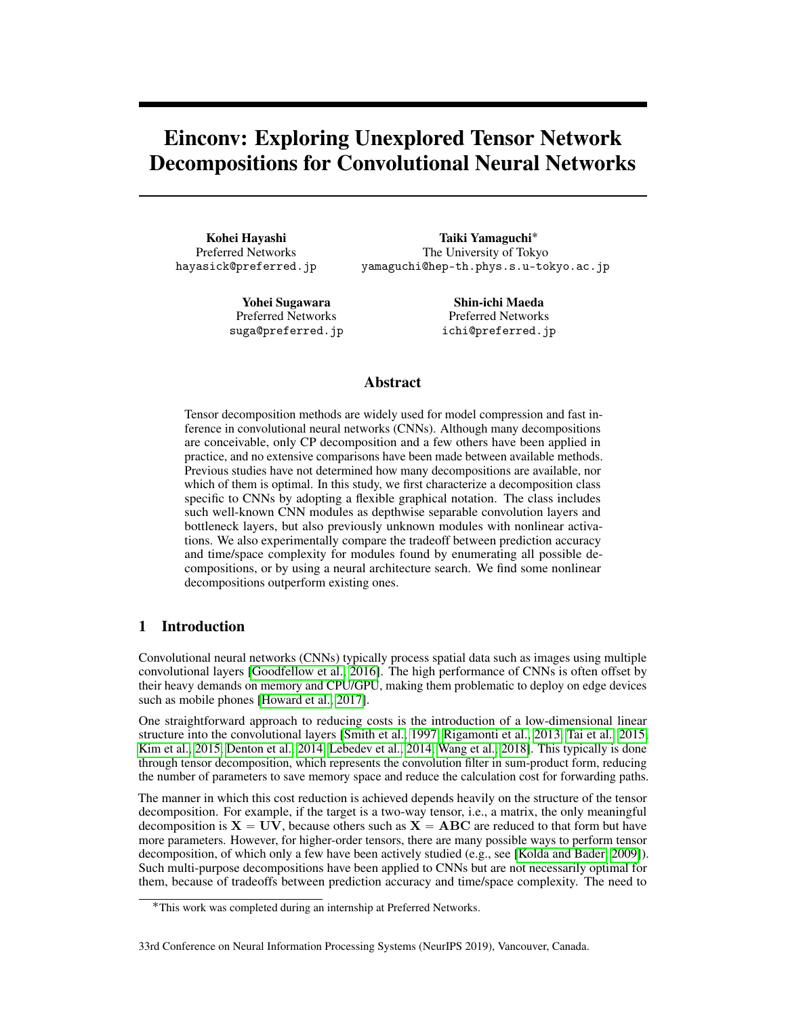# Einconv: Exploring Unexplored Tensor Network Decompositions for Convolutional Neural Networks

Kohei Hayashi Preferred Networks hayasick@preferred.jp

Taiki Yamaguchi˚ The University of Tokyo yamaguchi@hep-th.phys.s.u-tokyo.ac.jp

Yohei Sugawara Preferred Networks suga@preferred.jp

Shin-ichi Maeda Preferred Networks ichi@preferred.jp

# Abstract

Tensor decomposition methods are widely used for model compression and fast inference in convolutional neural networks (CNNs). Although many decompositions are conceivable, only CP decomposition and a few others have been applied in practice, and no extensive comparisons have been made between available methods. Previous studies have not determined how many decompositions are available, nor which of them is optimal. In this study, we first characterize a decomposition class specific to CNNs by adopting a flexible graphical notation. The class includes such well-known CNN modules as depthwise separable convolution layers and bottleneck layers, but also previously unknown modules with nonlinear activations. We also experimentally compare the tradeoff between prediction accuracy and time/space complexity for modules found by enumerating all possible decompositions, or by using a neural architecture search. We find some nonlinear decompositions outperform existing ones.

# 1 Introduction

Convolutional neural networks (CNNs) typically process spatial data such as images using multiple convolutional layers [\[Goodfellow et al., 2016\]](#page-9-0). The high performance of CNNs is often offset by their heavy demands on memory and CPU/GPU, making them problematic to deploy on edge devices such as mobile phones [\[Howard et al., 2017\]](#page-9-1).

One straightforward approach to reducing costs is the introduction of a low-dimensional linear structure into the convolutional layers [\[Smith et al., 1997,](#page-10-0) [Rigamonti et al., 2013,](#page-9-2) [Tai et al., 2015,](#page-10-1) [Kim et al., 2015,](#page-9-3) [Denton et al., 2014,](#page-9-4) [Lebedev et al., 2014,](#page-9-5) [Wang et al., 2018\]](#page-10-2). This typically is done through tensor decomposition, which represents the convolution filter in sum-product form, reducing the number of parameters to save memory space and reduce the calculation cost for forwarding paths.

The manner in which this cost reduction is achieved depends heavily on the structure of the tensor decomposition. For example, if the target is a two-way tensor, i.e., a matrix, the only meaningful decomposition is  $X = UV$ , because others such as  $X = ABC$  are reduced to that form but have more parameters. However, for higher-order tensors, there are many possible ways to perform tensor decomposition, of which only a few have been actively studied (e.g., see [\[Kolda and Bader, 2009\]](#page-9-6)). Such multi-purpose decompositions have been applied to CNNs but are not necessarily optimal for them, because of tradeoffs between prediction accuracy and time/space complexity. The need to

#### 33rd Conference on Neural Information Processing Systems (NeurIPS 2019), Vancouver, Canada.

<sup>˚</sup>This work was completed during an internship at Preferred Networks.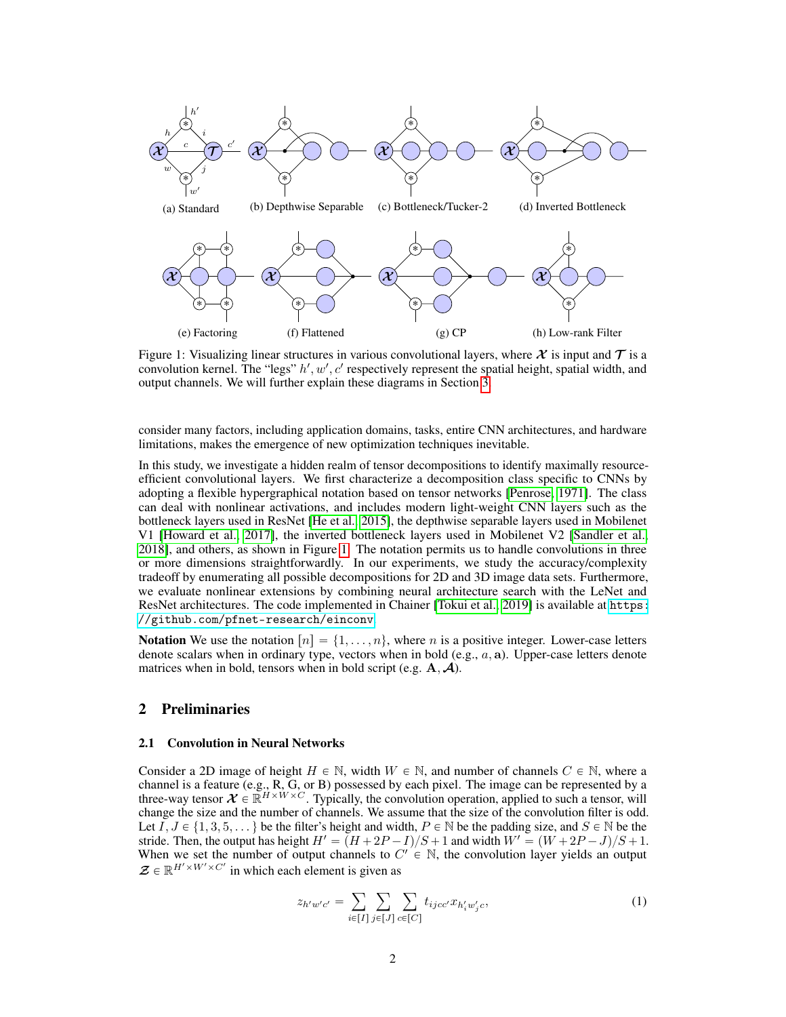<span id="page-1-5"></span><span id="page-1-4"></span><span id="page-1-3"></span><span id="page-1-0"></span>

<span id="page-1-2"></span>Figure 1: Visualizing linear structures in various convolutional layers, where  $\chi$  is input and  $\tau$  is a convolution kernel. The "legs"  $h', w', c'$  respectively represent the spatial height, spatial width, and output channels. We will further explain these diagrams in Section [3.](#page-2-0)

consider many factors, including application domains, tasks, entire CNN architectures, and hardware limitations, makes the emergence of new optimization techniques inevitable.

In this study, we investigate a hidden realm of tensor decompositions to identify maximally resourceefficient convolutional layers. We first characterize a decomposition class specific to CNNs by adopting a flexible hypergraphical notation based on tensor networks [\[Penrose, 1971\]](#page-9-7). The class can deal with nonlinear activations, and includes modern light-weight CNN layers such as the bottleneck layers used in ResNet [\[He et al., 2015\]](#page-9-8), the depthwise separable layers used in Mobilenet V1 [\[Howard et al., 2017\]](#page-9-1), the inverted bottleneck layers used in Mobilenet V2 [\[Sandler et al.,](#page-10-3) [2018\]](#page-10-3), and others, as shown in Figure [1.](#page-1-0) The notation permits us to handle convolutions in three or more dimensions straightforwardly. In our experiments, we study the accuracy/complexity tradeoff by enumerating all possible decompositions for 2D and 3D image data sets. Furthermore, we evaluate nonlinear extensions by combining neural architecture search with the LeNet and ResNet architectures. The code implemented in Chainer [\[Tokui et al., 2019\]](#page-10-4) is available at [https:](https://github.com/pfnet-research/einconv) [//github.com/pfnet-research/einconv](https://github.com/pfnet-research/einconv).

**Notation** We use the notation  $[n] = \{1, \ldots, n\}$ , where n is a positive integer. Lower-case letters denote scalars when in ordinary type, vectors when in bold  $(e.g., a, a)$ . Upper-case letters denote matrices when in bold, tensors when in bold script (e.g.  $A, A$ ).

# 2 Preliminaries

#### 2.1 Convolution in Neural Networks

Consider a 2D image of height  $H \in \mathbb{N}$ , width  $W \in \mathbb{N}$ , and number of channels  $C \in \mathbb{N}$ , where a channel is a feature (e.g.,  $R$ ,  $\overline{G}$ , or B) possessed by each pixel. The image can be represented by a three-way tensor  $\mathcal{X} \in \mathbb{R}^{H \times W \times C}$ . Typically, the convolution operation, applied to such a tensor, will change the size and the number of channels. We assume that the size of the convolution filter is odd. Let  $I, J \in \{1, 3, 5, \dots\}$  be the filter's height and width,  $P \in \mathbb{N}$  be the padding size, and  $S \in \mathbb{N}$  be the Stride. Then, the output has height  $H' = (H + 2P - I)/S + 1$  and width  $W' = (W + 2P - J)/S + 1$ . When we set the number of output channels to  $C^{\prime} \in \mathbb{N}$ , the convolution layer yields an output  $\mathbf{\mathcal{Z}} \in \mathbb{R}^{H' \times W' \times C'}$  in which each element is given as

<span id="page-1-1"></span>
$$
z_{h'w'c'} = \sum_{i \in [I]} \sum_{j \in [J]} \sum_{c \in [C]} t_{ijcc'} x_{h'_i w'_j c}, \qquad (1)
$$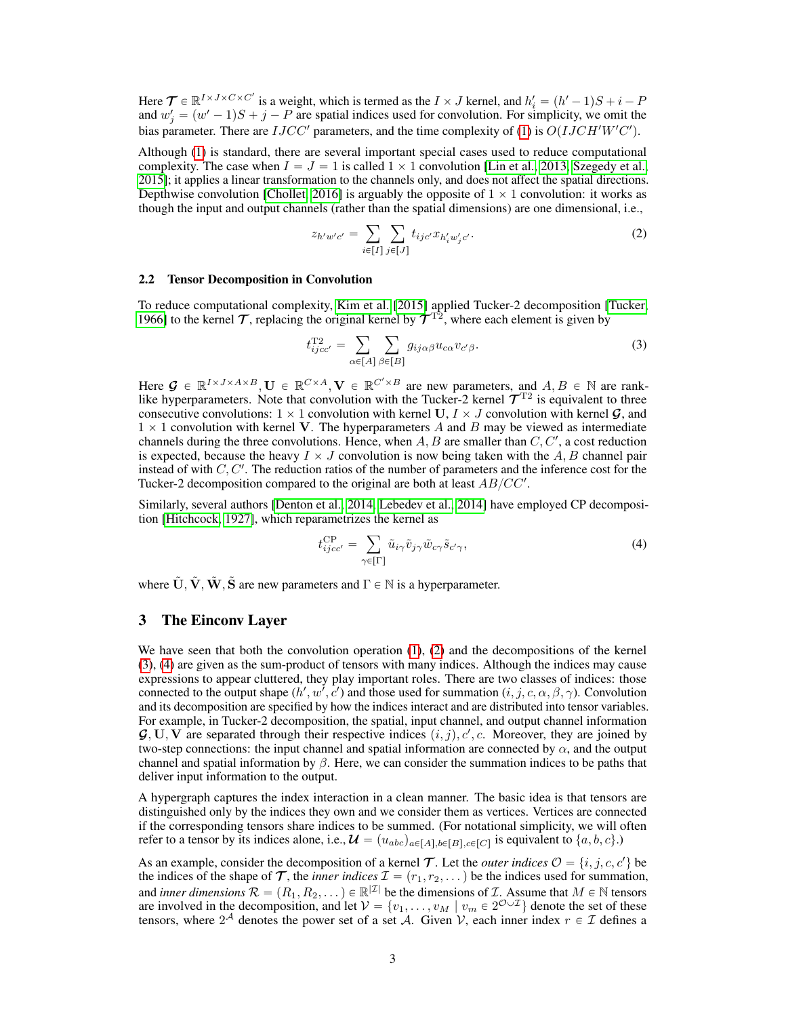Here  $\mathcal{T} \in \mathbb{R}^{I \times J \times C \times C'}$  is a weight, which is termed as the  $I \times J$  kernel, and  $h'_i = (h'-1)S + i - P$ and  $w'_{j} = (w' - 1)S + j - P$  are spatial indices used for convolution. For simplicity, we omit the bias parameter. There are  $IJCC'$  parameters, and the time complexity of [\(1\)](#page-1-1) is  $O(IJCH'W'C')$ .

Although [\(1\)](#page-1-1) is standard, there are several important special cases used to reduce computational complexity. The case when  $I = J = 1$  is called  $1 \times 1$  convolution [\[Lin et al., 2013,](#page-9-9) [Szegedy et al.,](#page-10-5) [2015\]](#page-10-5); it applies a linear transformation to the channels only, and does not affect the spatial directions. Depthwise convolution [\[Chollet, 2016\]](#page-8-0) is arguably the opposite of  $1 \times 1$  convolution: it works as though the input and output channels (rather than the spatial dimensions) are one dimensional, i.e.,

<span id="page-2-1"></span>
$$
z_{h'w'c'} = \sum_{i \in [I]} \sum_{j \in [J]} t_{ijc'} x_{h'_i w'_j c'}.
$$
 (2)

#### 2.2 Tensor Decomposition in Convolution

To reduce computational complexity, [Kim et al.](#page-9-3) [\[2015\]](#page-9-3) applied Tucker-2 decomposition [\[Tucker,](#page-10-6) [1966\]](#page-10-6) to the kernel  $\tau$ , replacing the original kernel by  $\tau^{T_2}$ , where each element is given by

<span id="page-2-2"></span>
$$
t_{ijcc'}^{\text{T2}} = \sum_{\alpha \in [A]} \sum_{\beta \in [B]} g_{ij\alpha\beta} u_{c\alpha} v_{c'\beta}.
$$
 (3)

Here  $\mathcal{G} \in \mathbb{R}^{I \times J \times A \times B}$ ,  $\mathbf{U} \in \mathbb{R}^{C \times A}$ ,  $\mathbf{V} \in \mathbb{R}^{C' \times B}$  are new parameters, and  $A, B \in \mathbb{N}$  are ranklike hyperparameters. Note that convolution with the Tucker-2 kernel  $\mathcal{T}^{T2}$  is equivalent to three consecutive convolutions:  $1 \times 1$  convolution with kernel U,  $I \times J$  convolution with kernel G, and  $1 \times 1$  convolution with kernel V. The hyperparameters A and B may be viewed as intermediate channels during the three convolutions. Hence, when  $A, B$  are smaller than  $C, C',$  a cost reduction is expected, because the heavy  $I \times J$  convolution is now being taken with the A, B channel pair instead of with  $C, C'$ . The reduction ratios of the number of parameters and the inference cost for the Tucker-2 decomposition compared to the original are both at least  $AB/CC'$ .

Similarly, several authors [\[Denton et al., 2014,](#page-9-4) [Lebedev et al., 2014\]](#page-9-5) have employed CP decomposition [\[Hitchcock, 1927\]](#page-9-10), which reparametrizes the kernel as

<span id="page-2-3"></span>
$$
t_{ijcc'}^{\rm CP} = \sum_{\gamma \in [\Gamma]} \tilde{u}_{i\gamma} \tilde{v}_{j\gamma} \tilde{w}_{c\gamma} \tilde{s}_{c'\gamma},\tag{4}
$$

where  $\tilde{\mathbf{U}}, \tilde{\mathbf{V}}, \tilde{\mathbf{W}}, \tilde{\mathbf{S}}$  are new parameters and  $\Gamma \in \mathbb{N}$  is a hyperparameter.

### <span id="page-2-0"></span>3 The Einconv Layer

We have seen that both the convolution operation [\(1\)](#page-1-1), [\(2\)](#page-2-1) and the decompositions of the kernel [\(3\)](#page-2-2), [\(4\)](#page-2-3) are given as the sum-product of tensors with many indices. Although the indices may cause expressions to appear cluttered, they play important roles. There are two classes of indices: those connected to the output shape  $(h', w', c')$  and those used for summation  $(i, j, c, \alpha, \beta, \gamma)$ . Convolution and its decomposition are specified by how the indices interact and are distributed into tensor variables. For example, in Tucker-2 decomposition, the spatial, input channel, and output channel information  $\mathcal{G}, \mathbf{U}, \mathbf{V}$  are separated through their respective indices  $(i, j), c', c$ . Moreover, they are joined by two-step connections: the input channel and spatial information are connected by  $\alpha$ , and the output channel and spatial information by  $\beta$ . Here, we can consider the summation indices to be paths that deliver input information to the output.

A hypergraph captures the index interaction in a clean manner. The basic idea is that tensors are distinguished only by the indices they own and we consider them as vertices. Vertices are connected if the corresponding tensors share indices to be summed. (For notational simplicity, we will often refer to a tensor by its indices alone, i.e.,  $\mathcal{U} = (u_{abc})_{a \in [A], b \in [B], c \in [C]}$  is equivalent to  $\{a, b, c\}$ .)

As an example, consider the decomposition of a kernel T. Let the *outer indices*  $\mathcal{O} = \{i, j, c, c'\}$  be the indices of the shape of  $\mathcal T$ , the *inner indices*  $\mathcal I = (r_1, r_2, \dots)$  be the indices used for summation, and *inner dimensions*  $\mathcal{R} = (R_1, R_2, \dots) \in \mathbb{R}^{|\mathcal{I}|}$  be the dimensions of  $\mathcal{I}$ . Assume that  $M \in \mathbb{N}$  tensors are involved in the decomposition, and let  $V = \{v_1, \ldots, v_M \mid v_m \in 2^{\mathcal{O} \cup \mathcal{I}}\}\$  denote the set of these tensors, where  $2^{\mathcal{A}}$  denotes the power set of a set  $\mathcal{A}$ . Given  $\mathcal{V}$ , each inner index  $r \in \mathcal{I}$  defines a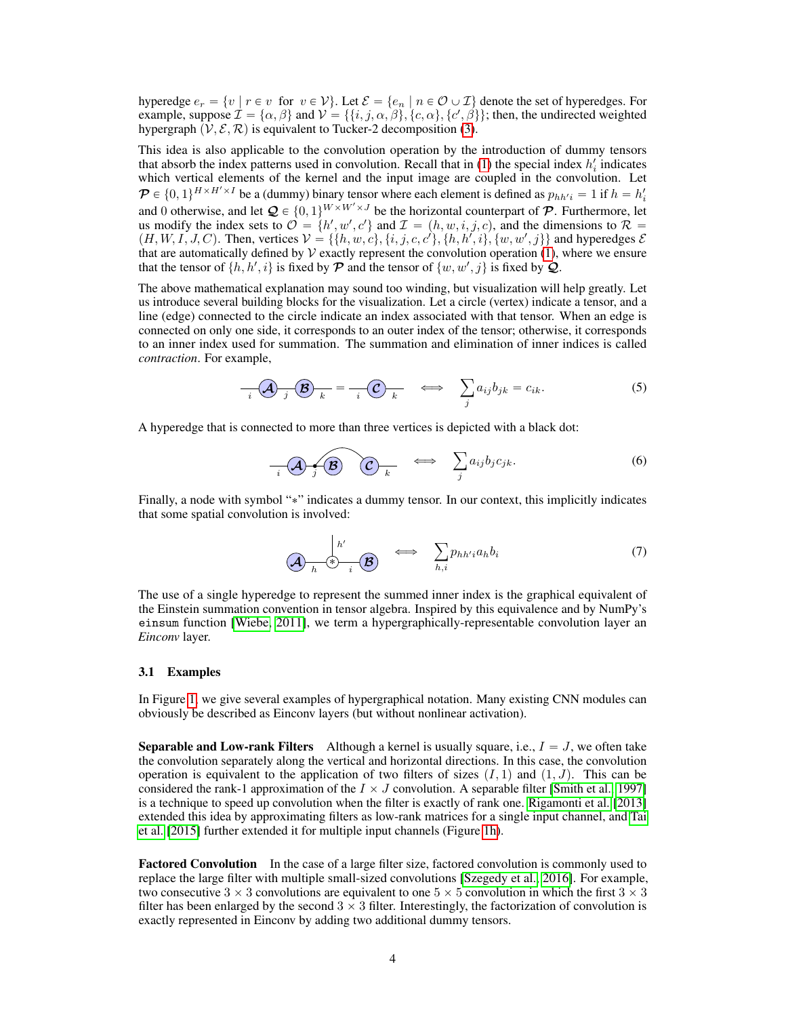hyperedge  $e_r = \{v \mid r \in v \text{ for } v \in V\}$ . Let  $\mathcal{E} = \{e_n \mid n \in \mathcal{O} \cup \mathcal{I}\}$  denote the set of hyperedges. For example, suppose  $\mathcal{I} = \{\alpha, \beta\}$  and  $\mathcal{V} = \{\{i, j, \alpha, \beta\}, \{c, \alpha\}, \{c', \beta\}\}\;$  then, the undirected weighted hypergraph  $(\mathcal{V}, \mathcal{E}, \mathcal{R})$  is equivalent to Tucker-2 decomposition [\(3\)](#page-2-2).

This idea is also applicable to the convolution operation by the introduction of dummy tensors that absorb the index patterns used in convolution. Recall that in  $(1)$  the special index  $h'_i$  indicates which vertical elements of the kernel and the input image are coupled in the convolution. Let  $\mathcal{P} \in \{0, 1\}^{H \times H' \times I}$  be a (dummy) binary tensor where each element is defined as  $p_{hh'i} = 1$  if  $h = h'_i$ and 0 otherwise, and let  $\mathcal{Q} \in \{0, 1\}^{W \times W' \times J}$  be the horizontal counterpart of  $\mathcal{P}$ . Furthermore, let us modify the index sets to  $\mathcal{O} = \{h', w', c'\}$  and  $\mathcal{I} = (h, w, i, j, c)$ , and the dimensions to  $\mathcal{R} =$  $(H, W, I, J, C)$ . Then, vertices  $V = \{ \{h, w, c\}, \{i, j, c, c'\}, \{h, h', i\}, \{w, w', j\} \}$  and hyperedges  $\mathcal{E}$ that are automatically defined by  $\mathcal V$  exactly represent the convolution operation [\(1\)](#page-1-1), where we ensure that the tensor of  $\{h, h', i\}$  is fixed by  $\mathcal P$  and the tensor of  $\{w, w', j\}$  is fixed by  $\mathcal Q$ .

The above mathematical explanation may sound too winding, but visualization will help greatly. Let us introduce several building blocks for the visualization. Let a circle (vertex) indicate a tensor, and a line (edge) connected to the circle indicate an index associated with that tensor. When an edge is connected on only one side, it corresponds to an outer index of the tensor; otherwise, it corresponds to an inner index used for summation. The summation and elimination of inner indices is called *contraction*. For example,

$$
\overline{A}_{i} \overline{A}_{j} \overline{B}_{k} = -\overline{C}_{k} \qquad \Longleftrightarrow \qquad \sum_{j} a_{ij} b_{jk} = c_{ik}.
$$
 (5)

A hyperedge that is connected to more than three vertices is depicted with a black dot:

$$
\overline{\mathcal{A}^{\bullet}(\mathcal{A}^{\bullet})^{\bullet}(\mathcal{B})} \quad \Longleftrightarrow \quad \sum_{j} a_{ij} b_{j} c_{jk}. \tag{6}
$$

Finally, a node with symbol "\*" indicates a dummy tensor. In our context, this implicitly indicates that some spatial convolution is involved:

$$
\left(\bigoplus_{h} \begin{matrix} h' \\ \ast \end{matrix}\right) \leftarrow \bigoplus_{i} \begin{matrix} k \\ \mathbf{B} \end{matrix} \right) \leftarrow \sum_{h,i} p_{hh'i} a_h b_i \tag{7}
$$

The use of a single hyperedge to represent the summed inner index is the graphical equivalent of the Einstein summation convention in tensor algebra. Inspired by this equivalence and by NumPy's einsum function [\[Wiebe, 2011\]](#page-10-7), we term a hypergraphically-representable convolution layer an *Einconv* layer.

#### 3.1 Examples

In Figure [1,](#page-1-0) we give several examples of hypergraphical notation. Many existing CNN modules can obviously be described as Einconv layers (but without nonlinear activation).

**Separable and Low-rank Filters** Although a kernel is usually square, i.e.,  $I = J$ , we often take the convolution separately along the vertical and horizontal directions. In this case, the convolution operation is equivalent to the application of two filters of sizes  $(I, 1)$  and  $(1, J)$ . This can be considered the rank-1 approximation of the  $I \times J$  convolution. A separable filter [\[Smith et al., 1997\]](#page-10-0) is a technique to speed up convolution when the filter is exactly of rank one. [Rigamonti et al. \[2013\]](#page-9-2) extended this idea by approximating filters as low-rank matrices for a single input channel, and [Tai](#page-10-1) [et al. \[2015\]](#page-10-1) further extended it for multiple input channels (Figure [1h\)](#page-1-2).

Factored Convolution In the case of a large filter size, factored convolution is commonly used to replace the large filter with multiple small-sized convolutions [\[Szegedy et al., 2016\]](#page-10-8). For example, two consecutive  $3 \times 3$  convolutions are equivalent to one  $5 \times 5$  convolution in which the first  $3 \times 3$ filter has been enlarged by the second  $3 \times 3$  filter. Interestingly, the factorization of convolution is exactly represented in Einconv by adding two additional dummy tensors.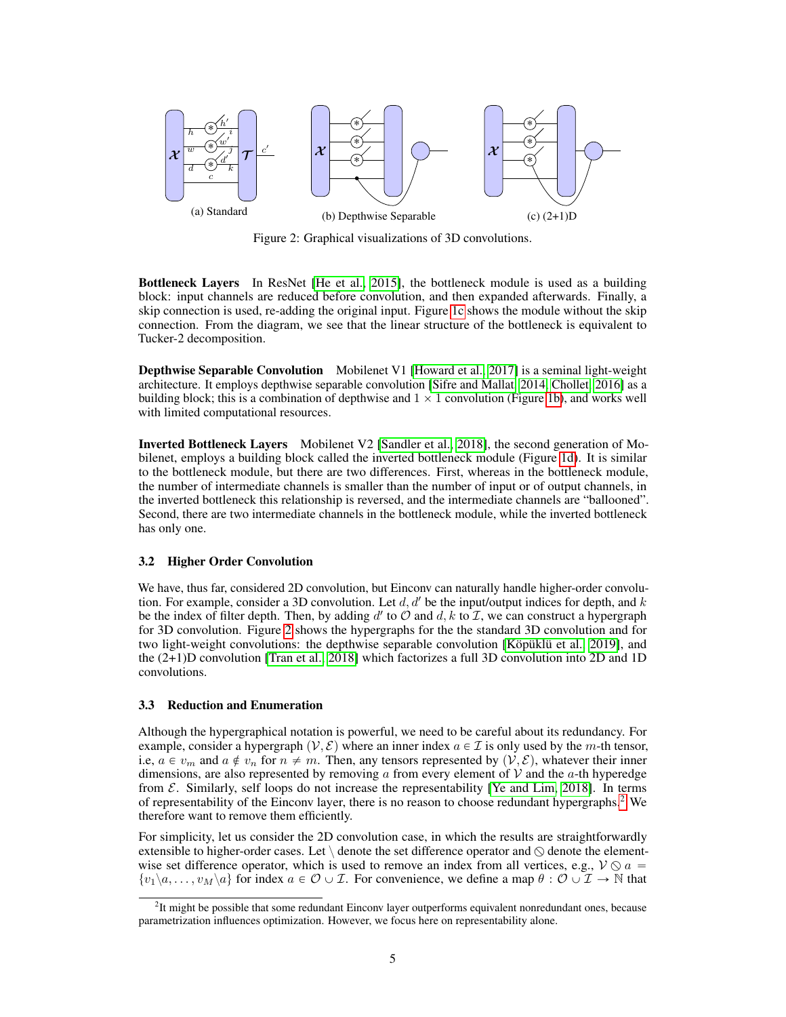<span id="page-4-0"></span>

Figure 2: Graphical visualizations of 3D convolutions.

Bottleneck Layers In ResNet [\[He et al., 2015\]](#page-9-8), the bottleneck module is used as a building block: input channels are reduced before convolution, and then expanded afterwards. Finally, a skip connection is used, re-adding the original input. Figure [1c](#page-1-3) shows the module without the skip connection. From the diagram, we see that the linear structure of the bottleneck is equivalent to Tucker-2 decomposition.

Depthwise Separable Convolution Mobilenet V1 [\[Howard et al., 2017\]](#page-9-1) is a seminal light-weight architecture. It employs depthwise separable convolution [\[Sifre and Mallat, 2014,](#page-10-9) [Chollet, 2016\]](#page-8-0) as a building block; this is a combination of depthwise and  $1 \times 1$  convolution (Figure [1b\)](#page-1-4), and works well with limited computational resources.

Inverted Bottleneck Layers Mobilenet V2 [\[Sandler et al., 2018\]](#page-10-3), the second generation of Mobilenet, employs a building block called the inverted bottleneck module (Figure [1d\)](#page-1-5). It is similar to the bottleneck module, but there are two differences. First, whereas in the bottleneck module, the number of intermediate channels is smaller than the number of input or of output channels, in the inverted bottleneck this relationship is reversed, and the intermediate channels are "ballooned". Second, there are two intermediate channels in the bottleneck module, while the inverted bottleneck has only one.

#### 3.2 Higher Order Convolution

We have, thus far, considered 2D convolution, but Einconv can naturally handle higher-order convolution. For example, consider a 3D convolution. Let  $d, d'$  be the input/output indices for depth, and k be the index of filter depth. Then, by adding d' to  $\hat{O}$  and  $d, k$  to  $\hat{I}$ , we can construct a hypergraph for 3D convolution. Figure [2](#page-4-0) shows the hypergraphs for the the standard 3D convolution and for two light-weight convolutions: the depthwise separable convolution [\[Köpüklü et al., 2019\]](#page-9-11), and the (2+1)D convolution [\[Tran et al., 2018\]](#page-10-10) which factorizes a full 3D convolution into 2D and 1D convolutions.

#### <span id="page-4-2"></span>3.3 Reduction and Enumeration

Although the hypergraphical notation is powerful, we need to be careful about its redundancy. For example, consider a hypergraph  $(V, \mathcal{E})$  where an inner index  $a \in \mathcal{I}$  is only used by the m-th tensor, i.e,  $a \in v_m$  and  $a \notin v_n$  for  $n \neq m$ . Then, any tensors represented by  $(\mathcal{V}, \mathcal{E})$ , whatever their inner dimensions, are also represented by removing  $\alpha$  from every element of  $\mathcal V$  and the  $\alpha$ -th hyperedge from  $\mathcal E$ . Similarly, self loops do not increase the representability [\[Ye and Lim, 2018\]](#page-10-11). In terms of representability of the Einconv layer, there is no reason to choose redundant hypergraphs.[2](#page-4-1) We therefore want to remove them efficiently.

For simplicity, let us consider the 2D convolution case, in which the results are straightforwardly extensible to higher-order cases. Let  $\setminus$  denote the set difference operator and  $\odot$  denote the elementwise set difference operator, which is used to remove an index from all vertices, e.g.,  $V \otimes a =$  $\{v_1\backslash a, \ldots, v_M\backslash a\}$  for index  $a \in \mathcal{O} \cup \mathcal{I}$ . For convenience, we define a map  $\theta : \mathcal{O} \cup \mathcal{I} \to \mathbb{N}$  that

<span id="page-4-1"></span><sup>&</sup>lt;sup>2</sup>It might be possible that some redundant Einconv layer outperforms equivalent nonredundant ones, because parametrization influences optimization. However, we focus here on representability alone.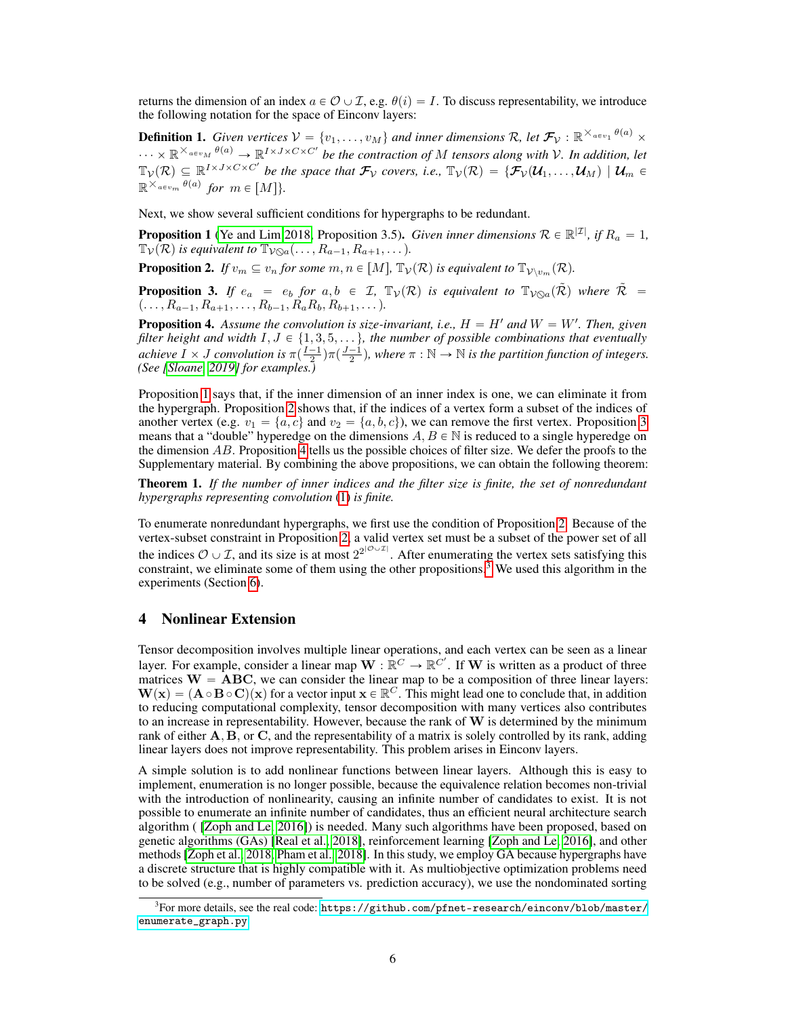returns the dimension of an index  $a \in \mathcal{O} \cup \mathcal{I}$ , e.g.  $\theta(i) = I$ . To discuss representability, we introduce the following notation for the space of Einconv layers:

**Definition 1.** Given vertices  $V = \{v_1, \ldots, v_M\}$  and inner dimensions R, let  $\mathcal{F}_V$  :  $\mathbb{R}^{\times a \in v_1}$   $^{\theta(a)}$   $\times$  $\cdots \times \mathbb{R}^{\times_{a\in v_M}\theta(a)} \to \mathbb{R}^{I\times J\times C\times C'}$  be the contraction of M tensors along with V. In addition, let  $\mathbb{T}_{\mathcal{V}}(\mathcal{R})\subseteq\mathbb{R}^{I\times J\times C\times C'}$  be the space that  $\mathcal{F}_{\mathcal{V}}$  covers, i.e.,  $\mathbb{T}_{\mathcal{V}}(\mathcal{R})=\{\mathcal{F}_{\mathcal{V}}(\mathcal{U}_1,\ldots,\mathcal{U}_M) \mid \mathcal{U}_m\in$  $\mathbb{R}^{\times}$ <sup>*a*∈*vm*</sub>  $\theta$ <sup>*(a)*</sup> for *m*  $\in$  [*M*]}.</sup>

Next, we show several sufficient conditions for hypergraphs to be redundant.

<span id="page-5-0"></span>**Proposition 1** [\(Ye and Lim 2018,](#page-10-11) Proposition 3.5). *Given inner dimensions*  $\mathcal{R} \in \mathbb{R}^{|\mathcal{I}|}$ , if  $R_a = 1$ ,  $\mathbb{T}_{\mathcal{V}}(\mathcal{R})$  *is equivalent to*  $\mathbb{T}_{\mathcal{V}\otimes a}(\ldots, R_{a-1}, R_{a+1}, \ldots)$ *.* 

<span id="page-5-1"></span>**Proposition 2.** *If*  $v_m \subseteq v_n$  *for some*  $m, n \in [M]$ ,  $\mathbb{T}_V(\mathcal{R})$  *is equivalent to*  $\mathbb{T}_{V \setminus v_m}(\mathcal{R})$ *.* 

<span id="page-5-2"></span>**Proposition 3.** If  $e_a = e_b$  for  $a, b \in I$ ,  $\mathbb{T}_\mathcal{V}(\mathcal{R})$  is equivalent to  $\mathbb{T}_{\mathcal{V}\odot a}(\tilde{\mathcal{R}})$  where  $\tilde{\mathcal{R}} =$  $(\ldots, R_{a-1}, R_{a+1}, \ldots, R_{b-1}, R_aR_b, R_{b+1}, \ldots).$ 

<span id="page-5-3"></span>**Proposition 4.** Assume the convolution is size-invariant, i.e.,  $H = H'$  and  $W = W'$ . Then, given *filter height and width*  $I, J \in \{1, 3, 5, \ldots\}$ , the number of possible combinations that eventually *achieve*  $\overline{I} \times J$  *convolution is*  $\pi(\frac{I-1}{2})\pi(\frac{J-1}{2})$ , where  $\pi : \mathbb{N} \to \mathbb{N}$  *is the partition function of integers. (See [\[Sloane, 2019\]](#page-10-12) for examples.)*

Proposition [1](#page-5-0) says that, if the inner dimension of an inner index is one, we can eliminate it from the hypergraph. Proposition [2](#page-5-1) shows that, if the indices of a vertex form a subset of the indices of another vertex (e.g.  $v_1 = \{a, c\}$  and  $v_2 = \{a, b, c\}$ ), we can remove the first vertex. Proposition [3](#page-5-2) means that a "double" hyperedge on the dimensions  $A, B \in \mathbb{N}$  is reduced to a single hyperedge on the dimension  $AB$ . Proposition [4](#page-5-3) tells us the possible choices of filter size. We defer the proofs to the Supplementary material. By combining the above propositions, we can obtain the following theorem:

Theorem 1. *If the number of inner indices and the filter size is finite, the set of nonredundant hypergraphs representing convolution* [\(1\)](#page-1-1) *is finite.*

To enumerate nonredundant hypergraphs, we first use the condition of Proposition [2.](#page-5-1) Because of the vertex-subset constraint in Proposition [2,](#page-5-1) a valid vertex set must be a subset of the power set of all the indices  $\mathcal{O} \cup \mathcal{I}$ , and its size is at most  $2^{2^{|\mathcal{O} \cup \mathcal{I}|}}$ . After enumerating the vertex sets satisfying this constraint, we eliminate some of them using the other propositions.<sup>[3](#page-5-4)</sup> We used this algorithm in the experiments (Section [6\)](#page-6-0).

## 4 Nonlinear Extension

Tensor decomposition involves multiple linear operations, and each vertex can be seen as a linear layer. For example, consider a linear map  $\mathbf{W} : \mathbb{R}^C \to \mathbb{R}^{C'}$ . If  $\mathbf{W}$  is written as a product of three matrices  $W = ABC$ , we can consider the linear map to be a composition of three linear layers:  $W(x) = (A \circ B \circ C)(x)$  for a vector input  $x \in \mathbb{R}^C$ . This might lead one to conclude that, in addition to reducing computational complexity, tensor decomposition with many vertices also contributes to an increase in representability. However, because the rank of  $W$  is determined by the minimum rank of either  $A, B$ , or  $C$ , and the representability of a matrix is solely controlled by its rank, adding linear layers does not improve representability. This problem arises in Einconv layers.

A simple solution is to add nonlinear functions between linear layers. Although this is easy to implement, enumeration is no longer possible, because the equivalence relation becomes non-trivial with the introduction of nonlinearity, causing an infinite number of candidates to exist. It is not possible to enumerate an infinite number of candidates, thus an efficient neural architecture search algorithm ( [\[Zoph and Le, 2016\]](#page-10-13)) is needed. Many such algorithms have been proposed, based on genetic algorithms (GAs) [\[Real et al., 2018\]](#page-9-12), reinforcement learning [\[Zoph and Le, 2016\]](#page-10-13), and other methods [\[Zoph et al., 2018,](#page-10-14) [Pham et al., 2018\]](#page-9-13). In this study, we employ GA because hypergraphs have a discrete structure that is highly compatible with it. As multiobjective optimization problems need to be solved (e.g., number of parameters vs. prediction accuracy), we use the nondominated sorting

<span id="page-5-4"></span> $^3$ For more details, see the real code: [https://github.com/pfnet-research/einconv/blob/master/](https://github.com/pfnet-research/einconv/blob/master/enumerate_graph.py) [enumerate\\_graph.py](https://github.com/pfnet-research/einconv/blob/master/enumerate_graph.py)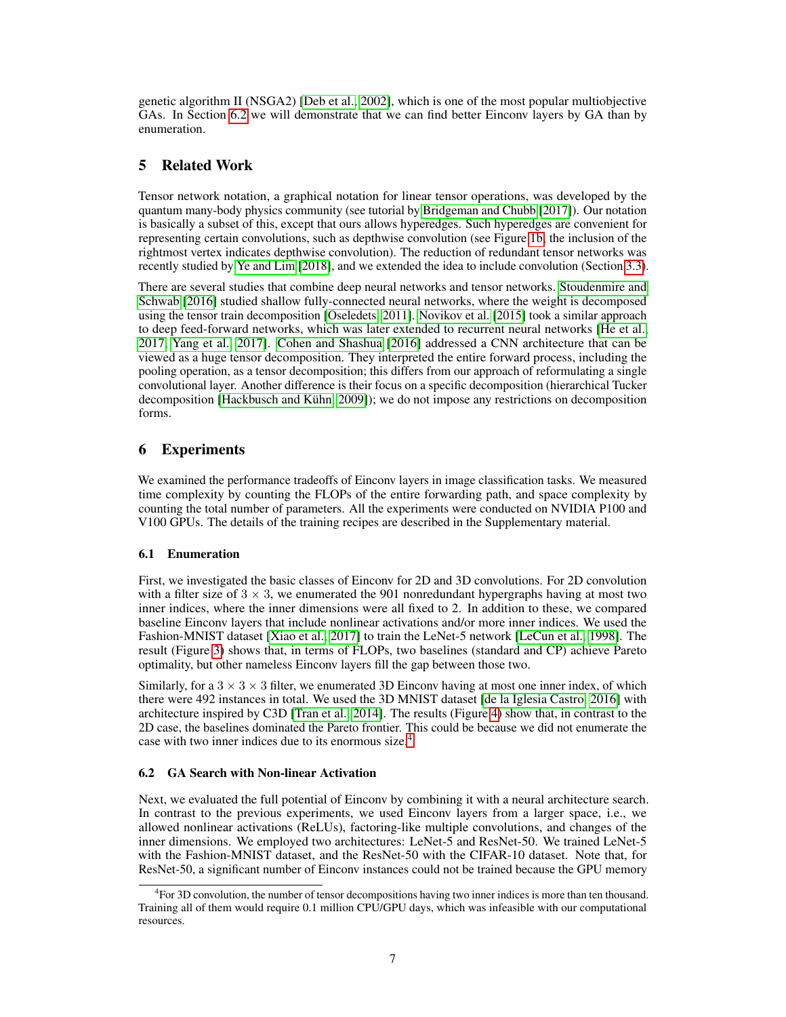genetic algorithm II (NSGA2) [\[Deb et al., 2002\]](#page-9-14), which is one of the most popular multiobjective GAs. In Section [6.2](#page-6-1) we will demonstrate that we can find better Einconv layers by GA than by enumeration.

# 5 Related Work

Tensor network notation, a graphical notation for linear tensor operations, was developed by the quantum many-body physics community (see tutorial by [Bridgeman and Chubb \[2017\]](#page-8-1)). Our notation is basically a subset of this, except that ours allows hyperedges. Such hyperedges are convenient for representing certain convolutions, such as depthwise convolution (see Figure [1b;](#page-1-4) the inclusion of the rightmost vertex indicates depthwise convolution). The reduction of redundant tensor networks was recently studied by [Ye and Lim \[2018\]](#page-10-11), and we extended the idea to include convolution (Section [3.3\)](#page-4-2).

There are several studies that combine deep neural networks and tensor networks. [Stoudenmire and](#page-10-15) [Schwab](#page-10-15) [\[2016\]](#page-10-15) studied shallow fully-connected neural networks, where the weight is decomposed using the tensor train decomposition [\[Oseledets, 2011\]](#page-9-15). [Novikov et al. \[2015\]](#page-9-16) took a similar approach to deep feed-forward networks, which was later extended to recurrent neural networks [\[He et al.,](#page-9-17) [2017,](#page-9-17) [Yang et al., 2017\]](#page-10-16). [Cohen and Shashua](#page-9-18) [\[2016\]](#page-9-18) addressed a CNN architecture that can be viewed as a huge tensor decomposition. They interpreted the entire forward process, including the pooling operation, as a tensor decomposition; this differs from our approach of reformulating a single convolutional layer. Another difference is their focus on a specific decomposition (hierarchical Tucker decomposition [\[Hackbusch and Kühn, 2009\]](#page-9-19)); we do not impose any restrictions on decomposition forms.

# <span id="page-6-0"></span>6 Experiments

We examined the performance tradeoffs of Einconv layers in image classification tasks. We measured time complexity by counting the FLOPs of the entire forwarding path, and space complexity by counting the total number of parameters. All the experiments were conducted on NVIDIA P100 and V100 GPUs. The details of the training recipes are described in the Supplementary material.

# 6.1 Enumeration

First, we investigated the basic classes of Einconv for 2D and 3D convolutions. For 2D convolution with a filter size of  $3 \times 3$ , we enumerated the 901 nonredundant hypergraphs having at most two inner indices, where the inner dimensions were all fixed to 2. In addition to these, we compared baseline Einconv layers that include nonlinear activations and/or more inner indices. We used the Fashion-MNIST dataset [\[Xiao et al., 2017\]](#page-10-17) to train the LeNet-5 network [\[LeCun et al., 1998\]](#page-9-20). The result (Figure [3\)](#page-7-0) shows that, in terms of FLOPs, two baselines (standard and CP) achieve Pareto optimality, but other nameless Einconv layers fill the gap between those two.

Similarly, for a  $3 \times 3 \times 3$  filter, we enumerated 3D Einconv having at most one inner index, of which there were 492 instances in total. We used the 3D MNIST dataset [\[de la Iglesia Castro, 2016\]](#page-9-21) with architecture inspired by C3D [\[Tran et al., 2014\]](#page-10-18). The results (Figure [4\)](#page-7-1) show that, in contrast to the 2D case, the baselines dominated the Pareto frontier. This could be because we did not enumerate the case with two inner indices due to its enormous size.[4](#page-6-2)

# <span id="page-6-1"></span>6.2 GA Search with Non-linear Activation

Next, we evaluated the full potential of Einconv by combining it with a neural architecture search. In contrast to the previous experiments, we used Einconv layers from a larger space, i.e., we allowed nonlinear activations (ReLUs), factoring-like multiple convolutions, and changes of the inner dimensions. We employed two architectures: LeNet-5 and ResNet-50. We trained LeNet-5 with the Fashion-MNIST dataset, and the ResNet-50 with the CIFAR-10 dataset. Note that, for ResNet-50, a significant number of Einconv instances could not be trained because the GPU memory

<span id="page-6-2"></span><sup>4</sup> For 3D convolution, the number of tensor decompositions having two inner indices is more than ten thousand. Training all of them would require 0.1 million CPU/GPU days, which was infeasible with our computational resources.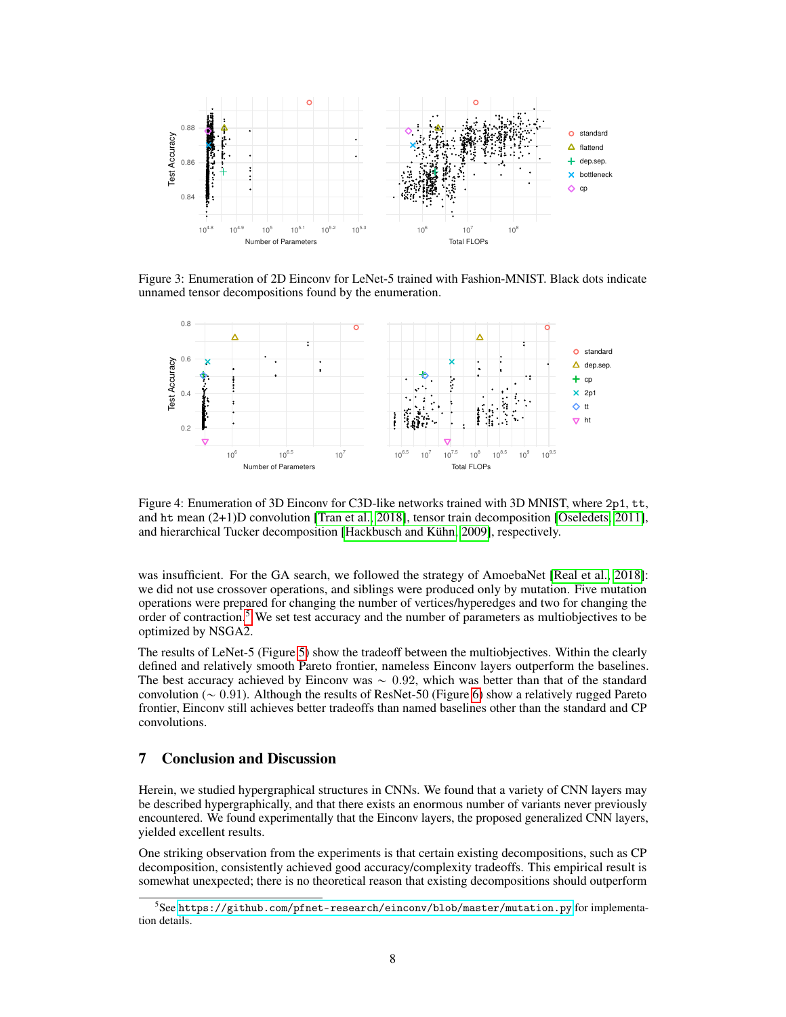<span id="page-7-0"></span>

Figure 3: Enumeration of 2D Einconv for LeNet-5 trained with Fashion-MNIST. Black dots indicate unnamed tensor decompositions found by the enumeration.

<span id="page-7-1"></span>

Figure 4: Enumeration of 3D Einconv for C3D-like networks trained with 3D MNIST, where 2p1, tt, and ht mean (2+1)D convolution [\[Tran et al., 2018\]](#page-10-10), tensor train decomposition [\[Oseledets, 2011\]](#page-9-15), and hierarchical Tucker decomposition [\[Hackbusch and Kühn, 2009\]](#page-9-19), respectively.

was insufficient. For the GA search, we followed the strategy of AmoebaNet [\[Real et al., 2018\]](#page-9-12): we did not use crossover operations, and siblings were produced only by mutation. Five mutation operations were prepared for changing the number of vertices/hyperedges and two for changing the order of contraction.[5](#page-7-2) We set test accuracy and the number of parameters as multiobjectives to be optimized by NSGA2.

The results of LeNet-5 (Figure [5\)](#page-8-2) show the tradeoff between the multiobjectives. Within the clearly defined and relatively smooth Pareto frontier, nameless Einconv layers outperform the baselines. The best accuracy achieved by Einconv was  $\sim 0.92$ , which was better than that of the standard convolution ( $\sim$  0.91). Although the results of ResNet-50 (Figure [6\)](#page-8-3) show a relatively rugged Pareto frontier, Einconv still achieves better tradeoffs than named baselines other than the standard and CP convolutions.

# 7 Conclusion and Discussion

Herein, we studied hypergraphical structures in CNNs. We found that a variety of CNN layers may be described hypergraphically, and that there exists an enormous number of variants never previously encountered. We found experimentally that the Einconv layers, the proposed generalized CNN layers, yielded excellent results.

One striking observation from the experiments is that certain existing decompositions, such as CP decomposition, consistently achieved good accuracy/complexity tradeoffs. This empirical result is somewhat unexpected; there is no theoretical reason that existing decompositions should outperform

<span id="page-7-2"></span> $^5$ See <https://github.com/pfnet-research/einconv/blob/master/mutation.py> for implementation details.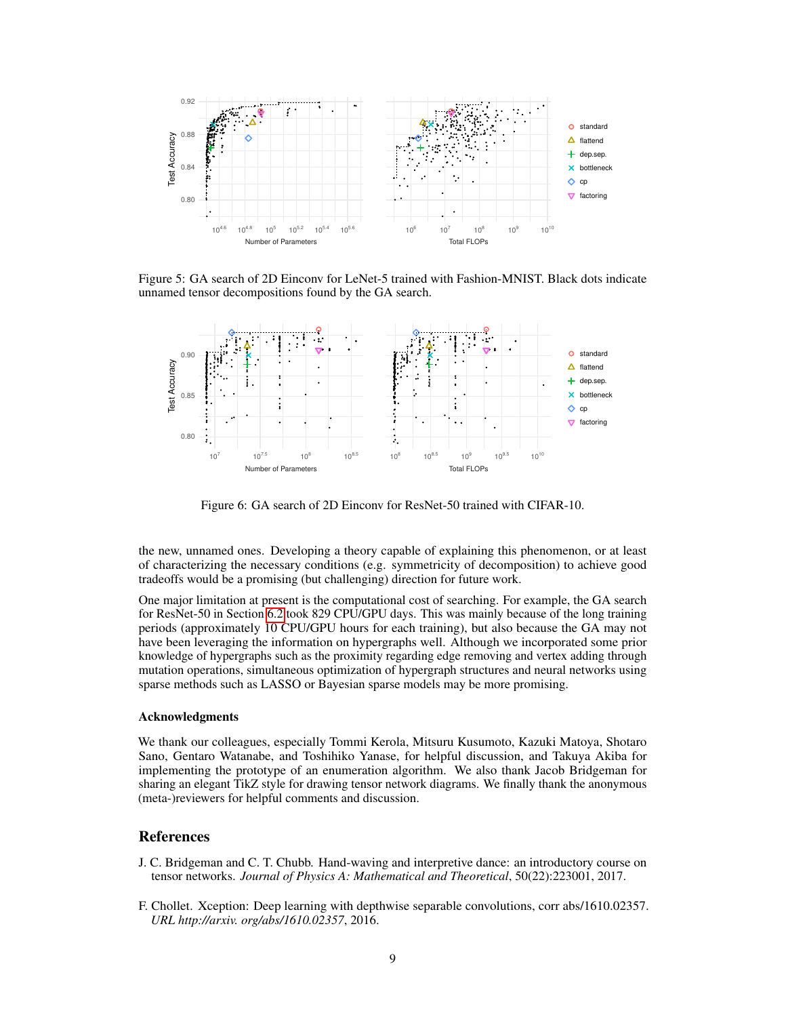<span id="page-8-2"></span>

Figure 5: GA search of 2D Einconv for LeNet-5 trained with Fashion-MNIST. Black dots indicate unnamed tensor decompositions found by the GA search.

<span id="page-8-3"></span>

Figure 6: GA search of 2D Einconv for ResNet-50 trained with CIFAR-10.

the new, unnamed ones. Developing a theory capable of explaining this phenomenon, or at least of characterizing the necessary conditions (e.g. symmetricity of decomposition) to achieve good tradeoffs would be a promising (but challenging) direction for future work.

One major limitation at present is the computational cost of searching. For example, the GA search for ResNet-50 in Section [6.2](#page-6-1) took 829 CPU/GPU days. This was mainly because of the long training periods (approximately 10 CPU/GPU hours for each training), but also because the GA may not have been leveraging the information on hypergraphs well. Although we incorporated some prior knowledge of hypergraphs such as the proximity regarding edge removing and vertex adding through mutation operations, simultaneous optimization of hypergraph structures and neural networks using sparse methods such as LASSO or Bayesian sparse models may be more promising.

#### Acknowledgments

We thank our colleagues, especially Tommi Kerola, Mitsuru Kusumoto, Kazuki Matoya, Shotaro Sano, Gentaro Watanabe, and Toshihiko Yanase, for helpful discussion, and Takuya Akiba for implementing the prototype of an enumeration algorithm. We also thank Jacob Bridgeman for sharing an elegant TikZ style for drawing tensor network diagrams. We finally thank the anonymous (meta-)reviewers for helpful comments and discussion.

## **References**

- <span id="page-8-1"></span>J. C. Bridgeman and C. T. Chubb. Hand-waving and interpretive dance: an introductory course on tensor networks. *Journal of Physics A: Mathematical and Theoretical*, 50(22):223001, 2017.
- <span id="page-8-0"></span>F. Chollet. Xception: Deep learning with depthwise separable convolutions, corr abs/1610.02357. *URL http://arxiv. org/abs/1610.02357*, 2016.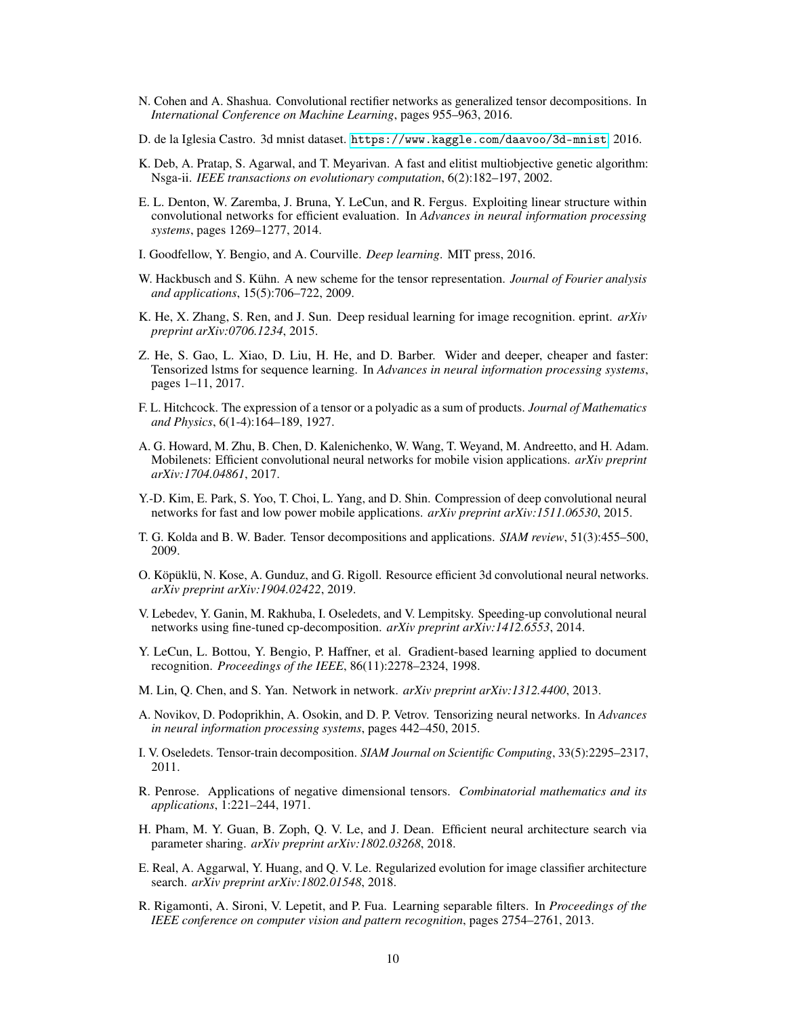- <span id="page-9-18"></span>N. Cohen and A. Shashua. Convolutional rectifier networks as generalized tensor decompositions. In *International Conference on Machine Learning*, pages 955–963, 2016.
- <span id="page-9-21"></span>D. de la Iglesia Castro. 3d mnist dataset. <https://www.kaggle.com/daavoo/3d-mnist>, 2016.
- <span id="page-9-14"></span>K. Deb, A. Pratap, S. Agarwal, and T. Meyarivan. A fast and elitist multiobjective genetic algorithm: Nsga-ii. *IEEE transactions on evolutionary computation*, 6(2):182–197, 2002.
- <span id="page-9-4"></span>E. L. Denton, W. Zaremba, J. Bruna, Y. LeCun, and R. Fergus. Exploiting linear structure within convolutional networks for efficient evaluation. In *Advances in neural information processing systems*, pages 1269–1277, 2014.
- <span id="page-9-0"></span>I. Goodfellow, Y. Bengio, and A. Courville. *Deep learning*. MIT press, 2016.
- <span id="page-9-19"></span>W. Hackbusch and S. Kühn. A new scheme for the tensor representation. *Journal of Fourier analysis and applications*, 15(5):706–722, 2009.
- <span id="page-9-8"></span>K. He, X. Zhang, S. Ren, and J. Sun. Deep residual learning for image recognition. eprint. *arXiv preprint arXiv:0706.1234*, 2015.
- <span id="page-9-17"></span>Z. He, S. Gao, L. Xiao, D. Liu, H. He, and D. Barber. Wider and deeper, cheaper and faster: Tensorized lstms for sequence learning. In *Advances in neural information processing systems*, pages 1–11, 2017.
- <span id="page-9-10"></span>F. L. Hitchcock. The expression of a tensor or a polyadic as a sum of products. *Journal of Mathematics and Physics*, 6(1-4):164–189, 1927.
- <span id="page-9-1"></span>A. G. Howard, M. Zhu, B. Chen, D. Kalenichenko, W. Wang, T. Weyand, M. Andreetto, and H. Adam. Mobilenets: Efficient convolutional neural networks for mobile vision applications. *arXiv preprint arXiv:1704.04861*, 2017.
- <span id="page-9-3"></span>Y.-D. Kim, E. Park, S. Yoo, T. Choi, L. Yang, and D. Shin. Compression of deep convolutional neural networks for fast and low power mobile applications. *arXiv preprint arXiv:1511.06530*, 2015.
- <span id="page-9-6"></span>T. G. Kolda and B. W. Bader. Tensor decompositions and applications. *SIAM review*, 51(3):455–500, 2009.
- <span id="page-9-11"></span>O. Köpüklü, N. Kose, A. Gunduz, and G. Rigoll. Resource efficient 3d convolutional neural networks. *arXiv preprint arXiv:1904.02422*, 2019.
- <span id="page-9-5"></span>V. Lebedev, Y. Ganin, M. Rakhuba, I. Oseledets, and V. Lempitsky. Speeding-up convolutional neural networks using fine-tuned cp-decomposition. *arXiv preprint arXiv:1412.6553*, 2014.
- <span id="page-9-20"></span>Y. LeCun, L. Bottou, Y. Bengio, P. Haffner, et al. Gradient-based learning applied to document recognition. *Proceedings of the IEEE*, 86(11):2278–2324, 1998.
- <span id="page-9-9"></span>M. Lin, Q. Chen, and S. Yan. Network in network. *arXiv preprint arXiv:1312.4400*, 2013.
- <span id="page-9-16"></span>A. Novikov, D. Podoprikhin, A. Osokin, and D. P. Vetrov. Tensorizing neural networks. In *Advances in neural information processing systems*, pages 442–450, 2015.
- <span id="page-9-15"></span>I. V. Oseledets. Tensor-train decomposition. *SIAM Journal on Scientific Computing*, 33(5):2295–2317, 2011.
- <span id="page-9-7"></span>R. Penrose. Applications of negative dimensional tensors. *Combinatorial mathematics and its applications*, 1:221–244, 1971.
- <span id="page-9-13"></span>H. Pham, M. Y. Guan, B. Zoph, Q. V. Le, and J. Dean. Efficient neural architecture search via parameter sharing. *arXiv preprint arXiv:1802.03268*, 2018.
- <span id="page-9-12"></span>E. Real, A. Aggarwal, Y. Huang, and Q. V. Le. Regularized evolution for image classifier architecture search. *arXiv preprint arXiv:1802.01548*, 2018.
- <span id="page-9-2"></span>R. Rigamonti, A. Sironi, V. Lepetit, and P. Fua. Learning separable filters. In *Proceedings of the IEEE conference on computer vision and pattern recognition*, pages 2754–2761, 2013.